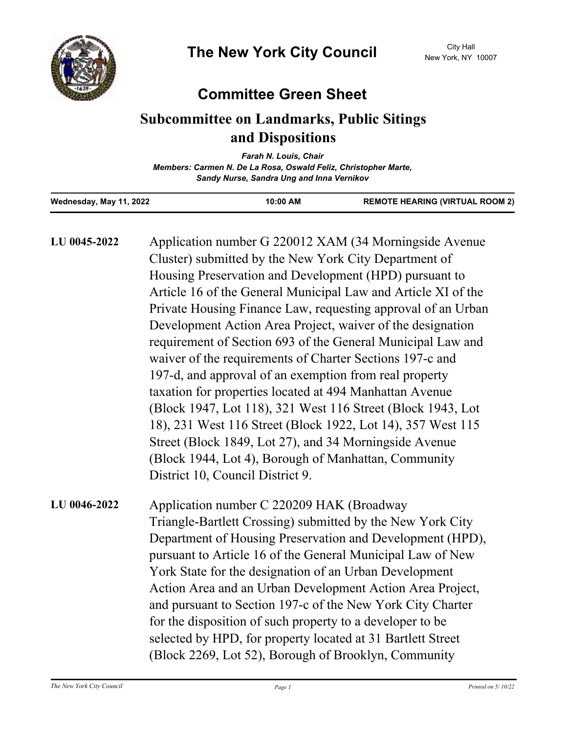

## **Committee Green Sheet**

## **Subcommittee on Landmarks, Public Sitings and Dispositions**

| Farah N. Louis, Chair                                           |
|-----------------------------------------------------------------|
| Members: Carmen N. De La Rosa, Oswald Feliz, Christopher Marte, |
| Sandy Nurse, Sandra Ung and Inna Vernikov                       |

| Wednesday, May 11, 2022 | 10:00 AM | <b>REMOTE HEARING (VIRTUAL ROOM 2)</b> |
|-------------------------|----------|----------------------------------------|

| LU 0045-2022 | Application number G 220012 XAM (34 Morningside Avenue<br>Cluster) submitted by the New York City Department of<br>Housing Preservation and Development (HPD) pursuant to<br>Article 16 of the General Municipal Law and Article XI of the<br>Private Housing Finance Law, requesting approval of an Urban<br>Development Action Area Project, waiver of the designation<br>requirement of Section 693 of the General Municipal Law and<br>waiver of the requirements of Charter Sections 197-c and<br>197-d, and approval of an exemption from real property<br>taxation for properties located at 494 Manhattan Avenue<br>(Block 1947, Lot 118), 321 West 116 Street (Block 1943, Lot |
|--------------|-----------------------------------------------------------------------------------------------------------------------------------------------------------------------------------------------------------------------------------------------------------------------------------------------------------------------------------------------------------------------------------------------------------------------------------------------------------------------------------------------------------------------------------------------------------------------------------------------------------------------------------------------------------------------------------------|
|              | 18), 231 West 116 Street (Block 1922, Lot 14), 357 West 115<br>Street (Block 1849, Lot 27), and 34 Morningside Avenue<br>(Block 1944, Lot 4), Borough of Manhattan, Community<br>District 10, Council District 9.                                                                                                                                                                                                                                                                                                                                                                                                                                                                       |
| LU 0046-2022 | Application number C 220209 HAK (Broadway<br>Triangle-Bartlett Crossing) submitted by the New York City<br>Department of Housing Preservation and Development (HPD),<br>pursuant to Article 16 of the General Municipal Law of New<br>York State for the designation of an Urban Development<br>Action Area and an Urban Development Action Area Project,<br>and pursuant to Section 197-c of the New York City Charter<br>for the disposition of such property to a developer to be<br>selected by HPD, for property located at 31 Bartlett Street<br>(Block 2269, Lot 52), Borough of Brooklyn, Community                                                                             |